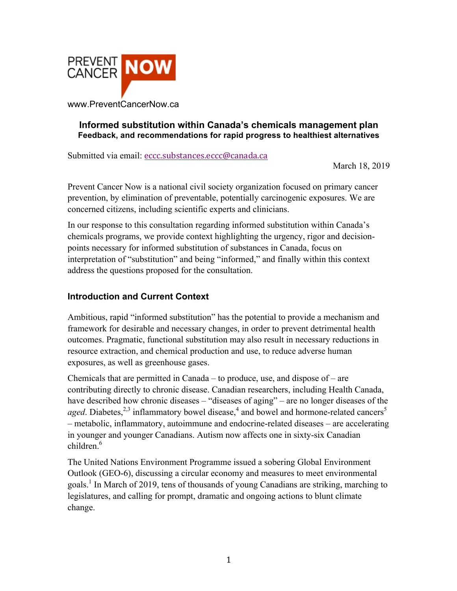

### **Informed substitution within Canada's chemicals management plan Feedback, and recommendations for rapid progress to healthiest alternatives**

Submitted via email: eccc.substances.eccc@canada.ca

March 18, 2019

Prevent Cancer Now is a national civil society organization focused on primary cancer prevention, by elimination of preventable, potentially carcinogenic exposures. We are concerned citizens, including scientific experts and clinicians.

In our response to this consultation regarding informed substitution within Canada's chemicals programs, we provide context highlighting the urgency, rigor and decisionpoints necessary for informed substitution of substances in Canada, focus on interpretation of "substitution" and being "informed," and finally within this context address the questions proposed for the consultation.

### **Introduction and Current Context**

Ambitious, rapid "informed substitution" has the potential to provide a mechanism and framework for desirable and necessary changes, in order to prevent detrimental health outcomes. Pragmatic, functional substitution may also result in necessary reductions in resource extraction, and chemical production and use, to reduce adverse human exposures, as well as greenhouse gases.

Chemicals that are permitted in Canada – to produce, use, and dispose of – are contributing directly to chronic disease. Canadian researchers, including Health Canada, have described how chronic diseases – "diseases of aging" – are no longer diseases of the aged. Diabetes,<sup>2,3</sup> inflammatory bowel disease,<sup>4</sup> and bowel and hormone-related cancers<sup>5</sup> – metabolic, inflammatory, autoimmune and endocrine-related diseases – are accelerating in younger and younger Canadians. Autism now affects one in sixty-six Canadian  $children<sup>6</sup>$ 

The United Nations Environment Programme issued a sobering Global Environment Outlook (GEO-6), discussing a circular economy and measures to meet environmental goals.<sup>1</sup> In March of 2019, tens of thousands of young Canadians are striking, marching to legislatures, and calling for prompt, dramatic and ongoing actions to blunt climate change.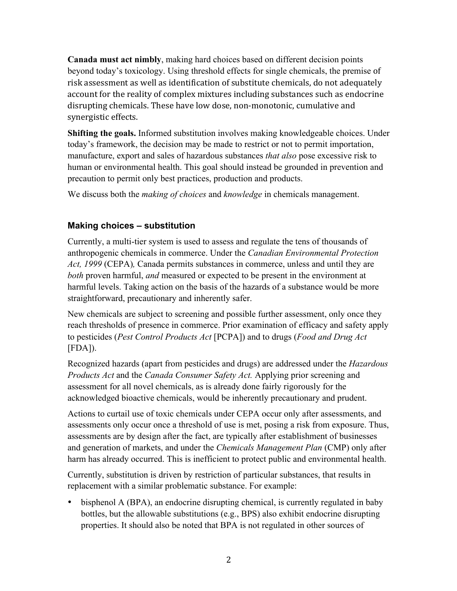**Canada must act nimbly**, making hard choices based on different decision points beyond today's toxicology. Using threshold effects for single chemicals, the premise of risk assessment as well as identification of substitute chemicals, do not adequately account for the reality of complex mixtures including substances such as endocrine disrupting chemicals. These have low dose, non-monotonic, cumulative and synergistic effects.

**Shifting the goals.** Informed substitution involves making knowledgeable choices. Under today's framework, the decision may be made to restrict or not to permit importation, manufacture, export and sales of hazardous substances *that also* pose excessive risk to human or environmental health. This goal should instead be grounded in prevention and precaution to permit only best practices, production and products.

We discuss both the *making of choices* and *knowledge* in chemicals management.

# **Making choices – substitution**

Currently, a multi-tier system is used to assess and regulate the tens of thousands of anthropogenic chemicals in commerce. Under the *Canadian Environmental Protection Act, 1999* (CEPA)*,* Canada permits substances in commerce, unless and until they are *both* proven harmful, *and* measured or expected to be present in the environment at harmful levels. Taking action on the basis of the hazards of a substance would be more straightforward, precautionary and inherently safer.

New chemicals are subject to screening and possible further assessment, only once they reach thresholds of presence in commerce. Prior examination of efficacy and safety apply to pesticides (*Pest Control Products Act* [PCPA]) and to drugs (*Food and Drug Act*  [FDA]).

Recognized hazards (apart from pesticides and drugs) are addressed under the *Hazardous Products Act* and the *Canada Consumer Safety Act.* Applying prior screening and assessment for all novel chemicals, as is already done fairly rigorously for the acknowledged bioactive chemicals, would be inherently precautionary and prudent.

Actions to curtail use of toxic chemicals under CEPA occur only after assessments, and assessments only occur once a threshold of use is met, posing a risk from exposure. Thus, assessments are by design after the fact, are typically after establishment of businesses and generation of markets, and under the *Chemicals Management Plan* (CMP) only after harm has already occurred. This is inefficient to protect public and environmental health.

Currently, substitution is driven by restriction of particular substances, that results in replacement with a similar problematic substance. For example:

• bisphenol A (BPA), an endocrine disrupting chemical, is currently regulated in baby bottles, but the allowable substitutions (e.g., BPS) also exhibit endocrine disrupting properties. It should also be noted that BPA is not regulated in other sources of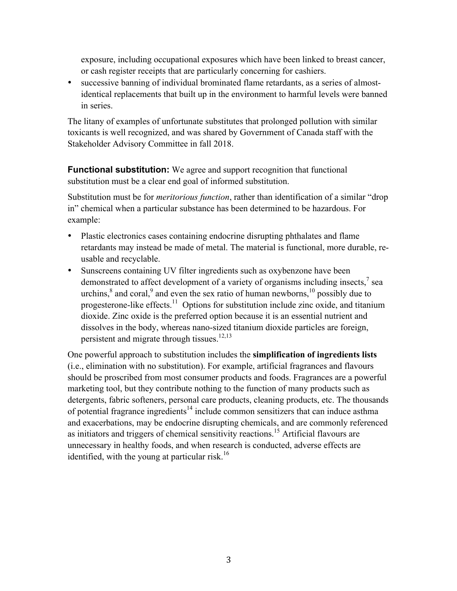exposure, including occupational exposures which have been linked to breast cancer, or cash register receipts that are particularly concerning for cashiers.

• successive banning of individual brominated flame retardants, as a series of almostidentical replacements that built up in the environment to harmful levels were banned in series.

The litany of examples of unfortunate substitutes that prolonged pollution with similar toxicants is well recognized, and was shared by Government of Canada staff with the Stakeholder Advisory Committee in fall 2018.

**Functional substitution:** We agree and support recognition that functional substitution must be a clear end goal of informed substitution.

Substitution must be for *meritorious function*, rather than identification of a similar "drop in" chemical when a particular substance has been determined to be hazardous. For example:

- Plastic electronics cases containing endocrine disrupting phthalates and flame retardants may instead be made of metal. The material is functional, more durable, reusable and recyclable.
- Sunscreens containing UV filter ingredients such as oxybenzone have been demonstrated to affect development of a variety of organisms including insects,<sup>7</sup> sea urchins, $\delta$  and coral, $\delta$  and even the sex ratio of human newborns,  $\delta$  possibly due to progesterone-like effects.<sup>11</sup> Options for substitution include zinc oxide, and titanium dioxide. Zinc oxide is the preferred option because it is an essential nutrient and dissolves in the body, whereas nano-sized titanium dioxide particles are foreign, persistent and migrate through tissues.<sup>12,13</sup>

One powerful approach to substitution includes the **simplification of ingredients lists** (i.e., elimination with no substitution). For example, artificial fragrances and flavours should be proscribed from most consumer products and foods. Fragrances are a powerful marketing tool, but they contribute nothing to the function of many products such as detergents, fabric softeners, personal care products, cleaning products, etc. The thousands of potential fragrance ingredients<sup>14</sup> include common sensitizers that can induce asthma and exacerbations, may be endocrine disrupting chemicals, and are commonly referenced as initiators and triggers of chemical sensitivity reactions.<sup>15</sup> Artificial flavours are unnecessary in healthy foods, and when research is conducted, adverse effects are identified, with the young at particular risk.<sup>16</sup>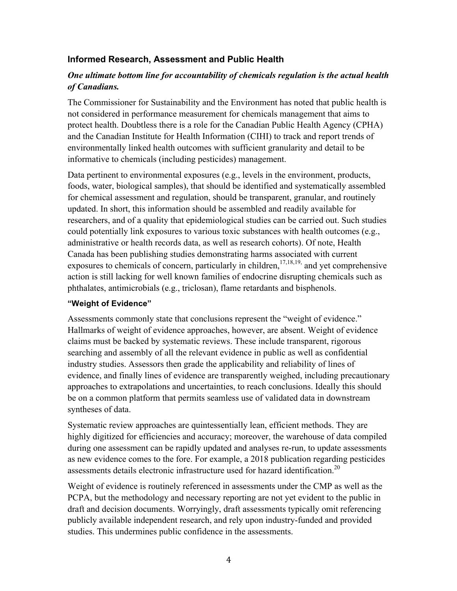### **Informed Research, Assessment and Public Health**

### *One ultimate bottom line for accountability of chemicals regulation is the actual health of Canadians.*

The Commissioner for Sustainability and the Environment has noted that public health is not considered in performance measurement for chemicals management that aims to protect health. Doubtless there is a role for the Canadian Public Health Agency (CPHA) and the Canadian Institute for Health Information (CIHI) to track and report trends of environmentally linked health outcomes with sufficient granularity and detail to be informative to chemicals (including pesticides) management.

Data pertinent to environmental exposures (e.g., levels in the environment, products, foods, water, biological samples), that should be identified and systematically assembled for chemical assessment and regulation, should be transparent, granular, and routinely updated. In short, this information should be assembled and readily available for researchers, and of a quality that epidemiological studies can be carried out. Such studies could potentially link exposures to various toxic substances with health outcomes (e.g., administrative or health records data, as well as research cohorts). Of note, Health Canada has been publishing studies demonstrating harms associated with current exposures to chemicals of concern, particularly in children,  $17,18,19$ , and yet comprehensive action is still lacking for well known families of endocrine disrupting chemicals such as phthalates, antimicrobials (e.g., triclosan), flame retardants and bisphenols.

#### **"Weight of Evidence"**

Assessments commonly state that conclusions represent the "weight of evidence." Hallmarks of weight of evidence approaches, however, are absent. Weight of evidence claims must be backed by systematic reviews. These include transparent, rigorous searching and assembly of all the relevant evidence in public as well as confidential industry studies. Assessors then grade the applicability and reliability of lines of evidence, and finally lines of evidence are transparently weighed, including precautionary approaches to extrapolations and uncertainties, to reach conclusions. Ideally this should be on a common platform that permits seamless use of validated data in downstream syntheses of data.

Systematic review approaches are quintessentially lean, efficient methods. They are highly digitized for efficiencies and accuracy; moreover, the warehouse of data compiled during one assessment can be rapidly updated and analyses re-run, to update assessments as new evidence comes to the fore. For example, a 2018 publication regarding pesticides assessments details electronic infrastructure used for hazard identification.<sup>20</sup>

Weight of evidence is routinely referenced in assessments under the CMP as well as the PCPA, but the methodology and necessary reporting are not yet evident to the public in draft and decision documents. Worryingly, draft assessments typically omit referencing publicly available independent research, and rely upon industry-funded and provided studies. This undermines public confidence in the assessments.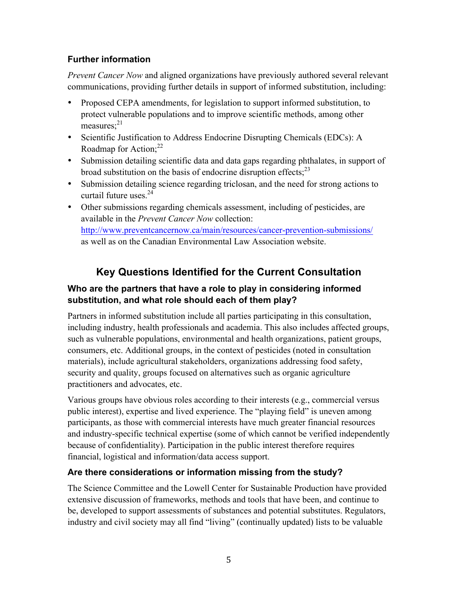# **Further information**

*Prevent Cancer Now* and aligned organizations have previously authored several relevant communications, providing further details in support of informed substitution, including:

- Proposed CEPA amendments, for legislation to support informed substitution, to protect vulnerable populations and to improve scientific methods, among other measures; $^{21}$
- Scientific Justification to Address Endocrine Disrupting Chemicals (EDCs): A Roadmap for Action: $^{22}$
- Submission detailing scientific data and data gaps regarding phthalates, in support of broad substitution on the basis of endocrine disruption effects;<sup>23</sup>
- Submission detailing science regarding triclosan, and the need for strong actions to curtail future uses.<sup>24</sup>
- Other submissions regarding chemicals assessment, including of pesticides, are available in the *Prevent Cancer Now* collection: http://www.preventcancernow.ca/main/resources/cancer-prevention-submissions/ as well as on the Canadian Environmental Law Association website.

# **Key Questions Identified for the Current Consultation**

# **Who are the partners that have a role to play in considering informed substitution, and what role should each of them play?**

Partners in informed substitution include all parties participating in this consultation, including industry, health professionals and academia. This also includes affected groups, such as vulnerable populations, environmental and health organizations, patient groups, consumers, etc. Additional groups, in the context of pesticides (noted in consultation materials), include agricultural stakeholders, organizations addressing food safety, security and quality, groups focused on alternatives such as organic agriculture practitioners and advocates, etc.

Various groups have obvious roles according to their interests (e.g., commercial versus public interest), expertise and lived experience. The "playing field" is uneven among participants, as those with commercial interests have much greater financial resources and industry-specific technical expertise (some of which cannot be verified independently because of confidentiality). Participation in the public interest therefore requires financial, logistical and information/data access support.

# **Are there considerations or information missing from the study?**

The Science Committee and the Lowell Center for Sustainable Production have provided extensive discussion of frameworks, methods and tools that have been, and continue to be, developed to support assessments of substances and potential substitutes. Regulators, industry and civil society may all find "living" (continually updated) lists to be valuable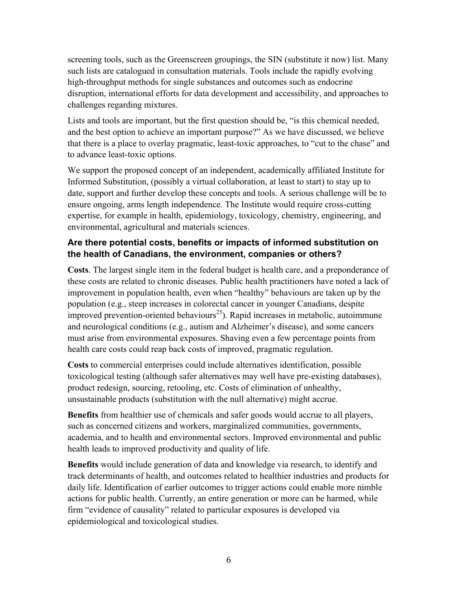screening tools, such as the Greenscreen groupings, the SIN (substitute it now) list. Many such lists are catalogued in consultation materials. Tools include the rapidly evolving high-throughput methods for single substances and outcomes such as endocrine disruption, international efforts for data development and accessibility, and approaches to challenges regarding mixtures.

Lists and tools are important, but the first question should be, "is this chemical needed, and the best option to achieve an important purpose?" As we have discussed, we believe that there is a place to overlay pragmatic, least-toxic approaches, to "cut to the chase" and to advance least-toxic options.

We support the proposed concept of an independent, academically affiliated Institute for Informed Substitution, (possibly a virtual collaboration, at least to start) to stay up to date, support and further develop these concepts and tools. A serious challenge will be to ensure ongoing, arms length independence. The Institute would require cross-cutting expertise, for example in health, epidemiology, toxicology, chemistry, engineering, and environmental, agricultural and materials sciences.

# **Are there potential costs, benefits or impacts of informed substitution on the health of Canadians, the environment, companies or others?**

**Costs**. The largest single item in the federal budget is health care, and a preponderance of these costs are related to chronic diseases. Public health practitioners have noted a lack of improvement in population health, even when "healthy" behaviours are taken up by the population (e.g., steep increases in colorectal cancer in younger Canadians, despite improved prevention-oriented behaviours<sup>25</sup>). Rapid increases in metabolic, autoimmune and neurological conditions (e.g., autism and Alzheimer's disease), and some cancers must arise from environmental exposures. Shaving even a few percentage points from health care costs could reap back costs of improved, pragmatic regulation.

**Costs** to commercial enterprises could include alternatives identification, possible toxicological testing (although safer alternatives may well have pre-existing databases), product redesign, sourcing, retooling, etc. Costs of elimination of unhealthy, unsustainable products (substitution with the null alternative) might accrue.

**Benefits** from healthier use of chemicals and safer goods would accrue to all players, such as concerned citizens and workers, marginalized communities, governments, academia, and to health and environmental sectors. Improved environmental and public health leads to improved productivity and quality of life.

**Benefits** would include generation of data and knowledge via research, to identify and track determinants of health, and outcomes related to healthier industries and products for daily life. Identification of earlier outcomes to trigger actions could enable more nimble actions for public health. Currently, an entire generation or more can be harmed, while firm "evidence of causality" related to particular exposures is developed via epidemiological and toxicological studies.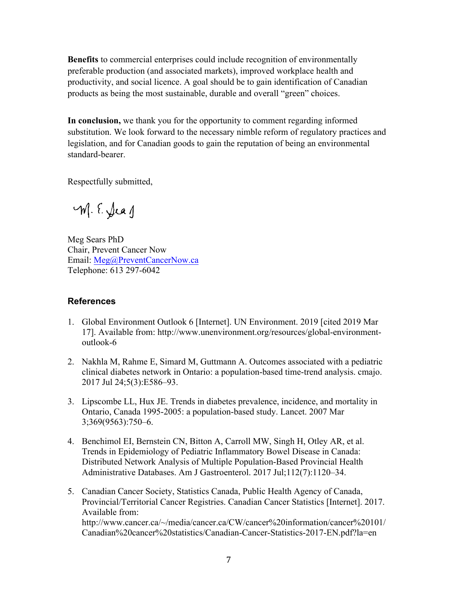**Benefits** to commercial enterprises could include recognition of environmentally preferable production (and associated markets), improved workplace health and productivity, and social licence. A goal should be to gain identification of Canadian products as being the most sustainable, durable and overall "green" choices.

**In conclusion,** we thank you for the opportunity to comment regarding informed substitution. We look forward to the necessary nimble reform of regulatory practices and legislation, and for Canadian goods to gain the reputation of being an environmental standard-bearer.

Respectfully submitted,

M. E. Jean

Meg Sears PhD Chair, Prevent Cancer Now Email: Meg@PreventCancerNow.ca Telephone: 613 297-6042

#### **References**

- 1. Global Environment Outlook 6 [Internet]. UN Environment. 2019 [cited 2019 Mar 17]. Available from: http://www.unenvironment.org/resources/global-environmentoutlook-6
- 2. Nakhla M, Rahme E, Simard M, Guttmann A. Outcomes associated with a pediatric clinical diabetes network in Ontario: a population-based time-trend analysis. cmajo. 2017 Jul 24;5(3):E586–93.
- 3. Lipscombe LL, Hux JE. Trends in diabetes prevalence, incidence, and mortality in Ontario, Canada 1995-2005: a population-based study. Lancet. 2007 Mar 3;369(9563):750–6.
- 4. Benchimol EI, Bernstein CN, Bitton A, Carroll MW, Singh H, Otley AR, et al. Trends in Epidemiology of Pediatric Inflammatory Bowel Disease in Canada: Distributed Network Analysis of Multiple Population-Based Provincial Health Administrative Databases. Am J Gastroenterol. 2017 Jul;112(7):1120–34.
- 5. Canadian Cancer Society, Statistics Canada, Public Health Agency of Canada, Provincial/Territorial Cancer Registries. Canadian Cancer Statistics [Internet]. 2017. Available from: http://www.cancer.ca/~/media/cancer.ca/CW/cancer%20information/cancer%20101/ Canadian%20cancer%20statistics/Canadian-Cancer-Statistics-2017-EN.pdf?la=en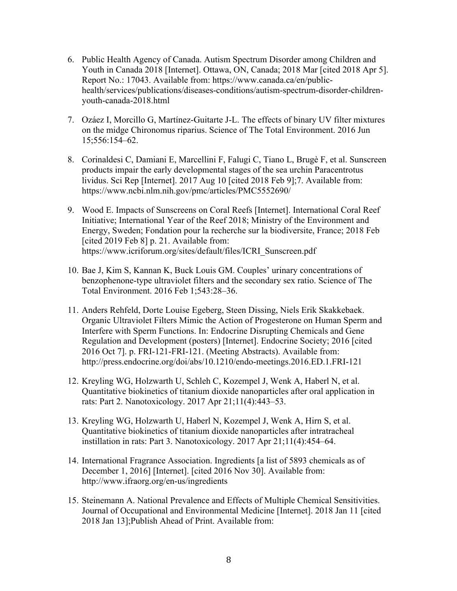- 6. Public Health Agency of Canada. Autism Spectrum Disorder among Children and Youth in Canada 2018 [Internet]. Ottawa, ON, Canada; 2018 Mar [cited 2018 Apr 5]. Report No.: 17043. Available from: https://www.canada.ca/en/publichealth/services/publications/diseases-conditions/autism-spectrum-disorder-childrenyouth-canada-2018.html
- 7. Ozáez I, Morcillo G, Martínez-Guitarte J-L. The effects of binary UV filter mixtures on the midge Chironomus riparius. Science of The Total Environment. 2016 Jun 15;556:154–62.
- 8. Corinaldesi C, Damiani E, Marcellini F, Falugi C, Tiano L, Brugè F, et al. Sunscreen products impair the early developmental stages of the sea urchin Paracentrotus lividus. Sci Rep [Internet]. 2017 Aug 10 [cited 2018 Feb 9];7. Available from: https://www.ncbi.nlm.nih.gov/pmc/articles/PMC5552690/
- 9. Wood E. Impacts of Sunscreens on Coral Reefs [Internet]. International Coral Reef Initiative; International Year of the Reef 2018; Ministry of the Environment and Energy, Sweden; Fondation pour la recherche sur la biodiversite, France; 2018 Feb [cited 2019 Feb 8] p. 21. Available from: https://www.icriforum.org/sites/default/files/ICRI\_Sunscreen.pdf
- 10. Bae J, Kim S, Kannan K, Buck Louis GM. Couples' urinary concentrations of benzophenone-type ultraviolet filters and the secondary sex ratio. Science of The Total Environment. 2016 Feb 1;543:28–36.
- 11. Anders Rehfeld, Dorte Louise Egeberg, Steen Dissing, Niels Erik Skakkebaek. Organic Ultraviolet Filters Mimic the Action of Progesterone on Human Sperm and Interfere with Sperm Functions. In: Endocrine Disrupting Chemicals and Gene Regulation and Development (posters) [Internet]. Endocrine Society; 2016 [cited 2016 Oct 7]. p. FRI-121-FRI-121. (Meeting Abstracts). Available from: http://press.endocrine.org/doi/abs/10.1210/endo-meetings.2016.ED.1.FRI-121
- 12. Kreyling WG, Holzwarth U, Schleh C, Kozempel J, Wenk A, Haberl N, et al. Quantitative biokinetics of titanium dioxide nanoparticles after oral application in rats: Part 2. Nanotoxicology. 2017 Apr 21;11(4):443–53.
- 13. Kreyling WG, Holzwarth U, Haberl N, Kozempel J, Wenk A, Hirn S, et al. Quantitative biokinetics of titanium dioxide nanoparticles after intratracheal instillation in rats: Part 3. Nanotoxicology. 2017 Apr 21;11(4):454–64.
- 14. International Fragrance Association. Ingredients [a list of 5893 chemicals as of December 1, 2016] [Internet]. [cited 2016 Nov 30]. Available from: http://www.ifraorg.org/en-us/ingredients
- 15. Steinemann A. National Prevalence and Effects of Multiple Chemical Sensitivities. Journal of Occupational and Environmental Medicine [Internet]. 2018 Jan 11 [cited 2018 Jan 13];Publish Ahead of Print. Available from: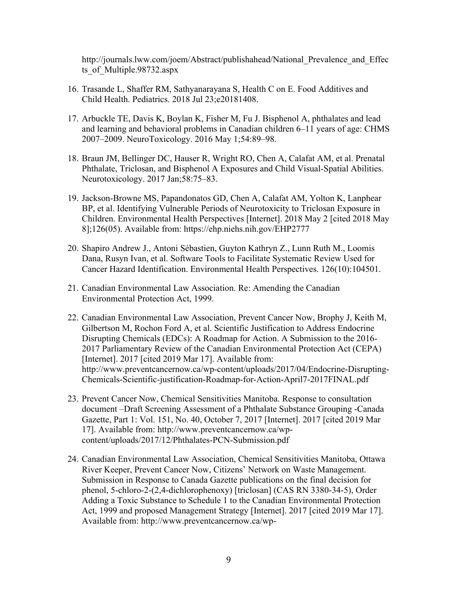http://journals.lww.com/joem/Abstract/publishahead/National\_Prevalence\_and\_Effec ts of Multiple.98732.aspx

- 16. Trasande L, Shaffer RM, Sathyanarayana S, Health C on E. Food Additives and Child Health. Pediatrics. 2018 Jul 23;e20181408.
- 17. Arbuckle TE, Davis K, Boylan K, Fisher M, Fu J. Bisphenol A, phthalates and lead and learning and behavioral problems in Canadian children 6–11 years of age: CHMS 2007–2009. NeuroToxicology. 2016 May 1;54:89–98.
- 18. Braun JM, Bellinger DC, Hauser R, Wright RO, Chen A, Calafat AM, et al. Prenatal Phthalate, Triclosan, and Bisphenol A Exposures and Child Visual-Spatial Abilities. Neurotoxicology. 2017 Jan;58:75–83.
- 19. Jackson-Browne MS, Papandonatos GD, Chen A, Calafat AM, Yolton K, Lanphear BP, et al. Identifying Vulnerable Periods of Neurotoxicity to Triclosan Exposure in Children. Environmental Health Perspectives [Internet]. 2018 May 2 [cited 2018 May 8];126(05). Available from: https://ehp.niehs.nih.gov/EHP2777
- 20. Shapiro Andrew J., Antoni Sébastien, Guyton Kathryn Z., Lunn Ruth M., Loomis Dana, Rusyn Ivan, et al. Software Tools to Facilitate Systematic Review Used for Cancer Hazard Identification. Environmental Health Perspectives. 126(10):104501.
- 21. Canadian Environmental Law Association. Re: Amending the Canadian Environmental Protection Act, 1999.
- 22. Canadian Environmental Law Association, Prevent Cancer Now, Brophy J, Keith M, Gilbertson M, Rochon Ford A, et al. Scientific Justification to Address Endocrine Disrupting Chemicals (EDCs): A Roadmap for Action. A Submission to the 2016- 2017 Parliamentary Review of the Canadian Environmental Protection Act (CEPA) [Internet]. 2017 [cited 2019 Mar 17]. Available from: http://www.preventcancernow.ca/wp-content/uploads/2017/04/Endocrine-Disrupting-Chemicals-Scientific-justification-Roadmap-for-Action-April7-2017FINAL.pdf
- 23. Prevent Cancer Now, Chemical Sensitivities Manitoba. Response to consultation document –Draft Screening Assessment of a Phthalate Substance Grouping -Canada Gazette, Part 1: Vol. 151, No. 40, October 7, 2017 [Internet]. 2017 [cited 2019 Mar 17]. Available from: http://www.preventcancernow.ca/wpcontent/uploads/2017/12/Phthalates-PCN-Submission.pdf
- 24. Canadian Environmental Law Association, Chemical Sensitivities Manitoba, Ottawa River Keeper, Prevent Cancer Now, Citizens' Network on Waste Management. Submission in Response to Canada Gazette publications on the final decision for phenol, 5-chloro-2-(2,4-dichlorophenoxy) [triclosan] (CAS RN 3380-34-5), Order Adding a Toxic Substance to Schedule 1 to the Canadian Environmental Protection Act, 1999 and proposed Management Strategy [Internet]. 2017 [cited 2019 Mar 17]. Available from: http://www.preventcancernow.ca/wp-